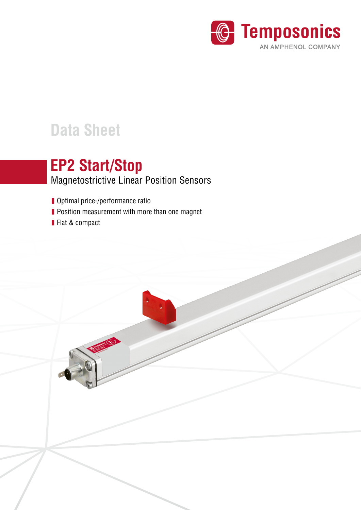

# **Data Sheet**

# Magnetostrictive Linear Position Sensors **EP2 Start/Stop**

- **Optimal price-/performance ratio**
- **Position measurement with more than one magnet**
- **Flat & compact**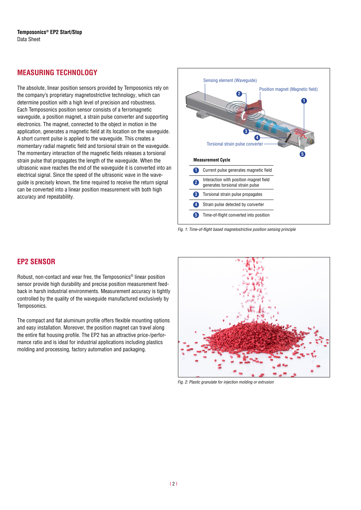# **MEASURING TECHNOLOGY**

The absolute, linear position sensors provided by Temposonics rely on the company's proprietary magnetostrictive technology, which can determine position with a high level of precision and robustness. Each Temposonics position sensor consists of a ferromagnetic waveguide, a position magnet, a strain pulse converter and supporting electronics. The magnet, connected to the object in motion in the application, generates a magnetic field at its location on the waveguide. A short current pulse is applied to the waveguide. This creates a momentary radial magnetic field and torsional strain on the waveguide. The momentary interaction of the magnetic fields releases a torsional strain pulse that propagates the length of the waveguide. When the ultrasonic wave reaches the end of the waveguide it is converted into an electrical signal. Since the speed of the ultrasonic wave in the waveguide is precisely known, the time required to receive the return signal can be converted into a linear position measurement with both high accuracy and repeatability.



*Fig. 1:* Time-of-flight based magnetostrictive position sensing principle

# **EP2 SENSOR**

Robust, non-contact and wear free, the Temposonics® linear position sensor provide high durability and precise position measurement feedback in harsh industrial environments. Measurement accuracy is tightly controlled by the quality of the waveguide manufactured exclusively by Temposonics.

The compact and flat aluminum profile offers flexible mounting options and easy installation. Moreover, the position magnet can travel along the entire flat housing profile. The EP2 has an attractive price-/performance ratio and is ideal for industrial applications including plastics molding and processing, factory automation and packaging.



*Fig. 2:* Plastic granulate for injection molding or extrusion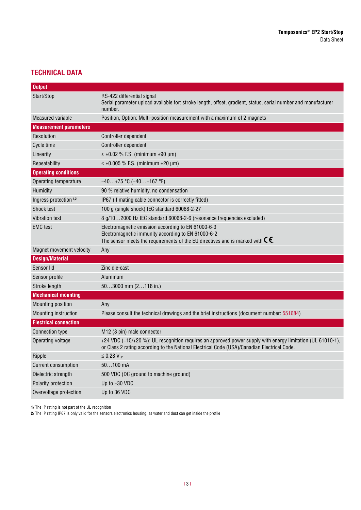# **TECHNICAL DATA**

| <b>Output</b>                     |                                                                                                                                                                                                              |  |  |
|-----------------------------------|--------------------------------------------------------------------------------------------------------------------------------------------------------------------------------------------------------------|--|--|
| Start/Stop                        | RS-422 differential signal<br>Serial parameter upload available for: stroke length, offset, gradient, status, serial number and manufacturer<br>number.                                                      |  |  |
| Measured variable                 | Position, Option: Multi-position measurement with a maximum of 2 magnets                                                                                                                                     |  |  |
| <b>Measurement parameters</b>     |                                                                                                                                                                                                              |  |  |
| Resolution                        | Controller dependent                                                                                                                                                                                         |  |  |
| Cycle time                        | Controller dependent                                                                                                                                                                                         |  |  |
| Linearity                         | $\leq \pm 0.02$ % F.S. (minimum $\pm 90$ µm)                                                                                                                                                                 |  |  |
| Repeatability                     | $\leq \pm 0.005$ % F.S. (minimum $\pm 20$ µm)                                                                                                                                                                |  |  |
| <b>Operating conditions</b>       |                                                                                                                                                                                                              |  |  |
| Operating temperature             | $-40+75$ °C ( $-40+167$ °F)                                                                                                                                                                                  |  |  |
| Humidity                          | 90 % relative humidity, no condensation                                                                                                                                                                      |  |  |
| Ingress protection <sup>1,2</sup> | IP67 (if mating cable connector is correctly fitted)                                                                                                                                                         |  |  |
| <b>Shock test</b>                 | 100 g (single shock) IEC standard 60068-2-27                                                                                                                                                                 |  |  |
| <b>Vibration test</b>             | 8 g/102000 Hz IEC standard 60068-2-6 (resonance frequencies excluded)                                                                                                                                        |  |  |
| <b>EMC</b> test                   | Electromagnetic emission according to EN 61000-6-3<br>Electromagnetic immunity according to EN 61000-6-2<br>The sensor meets the requirements of the EU directives and is marked with $\mathsf{C}\mathsf{E}$ |  |  |
| Magnet movement velocity          | Any                                                                                                                                                                                                          |  |  |
| <b>Design/Material</b>            |                                                                                                                                                                                                              |  |  |
| Sensor lid                        | Zinc die-cast                                                                                                                                                                                                |  |  |
| Sensor profile                    | Aluminum                                                                                                                                                                                                     |  |  |
| Stroke length                     | 503000 mm (2118 in.)                                                                                                                                                                                         |  |  |
| <b>Mechanical mounting</b>        |                                                                                                                                                                                                              |  |  |
| Mounting position                 | Any                                                                                                                                                                                                          |  |  |
| Mounting instruction              | Please consult the technical drawings and the brief instructions (document number: 551684)                                                                                                                   |  |  |
| <b>Electrical connection</b>      |                                                                                                                                                                                                              |  |  |
| <b>Connection type</b>            | M <sub>12</sub> (8 pin) male connector                                                                                                                                                                       |  |  |
| Operating voltage                 | +24 VDC (-15/+20 %); UL recognition requires an approved power supply with energy limitation (UL 61010-1),<br>or Class 2 rating according to the National Electrical Code (USA)/Canadian Electrical Code.    |  |  |
| Ripple                            | $\leq$ 0.28 $V_{PP}$                                                                                                                                                                                         |  |  |
| <b>Current consumption</b>        | $50100$ mA                                                                                                                                                                                                   |  |  |
| Dielectric strength               | 500 VDC (DC ground to machine ground)                                                                                                                                                                        |  |  |
| Polarity protection               | Up to -30 VDC                                                                                                                                                                                                |  |  |
| Overvoltage protection            | Up to 36 VDC                                                                                                                                                                                                 |  |  |

**1/** The IP rating is not part of the UL recognition

**2/** The IP rating IP67 is only valid for the sensors electronics housing, as water and dust can get inside the profile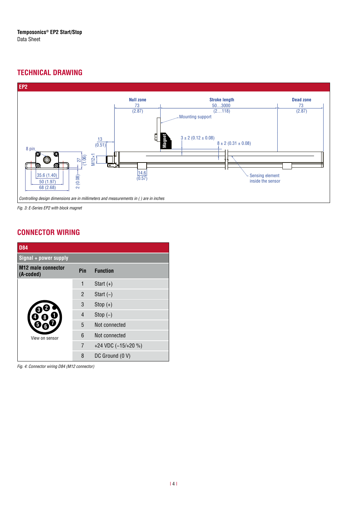# **TECHNICAL DRAWING**



*Fig. 3:* E-Series EP2 with block magnet

### **CONNECTOR WIRING**

| <b>D84</b>                             |                |                     |  |  |  |
|----------------------------------------|----------------|---------------------|--|--|--|
| $Signal + power supply$                |                |                     |  |  |  |
| <b>M12</b> male connector<br>(A-coded) | Pin            | <b>Function</b>     |  |  |  |
|                                        | $\mathbf{1}$   | Start $(+)$         |  |  |  |
|                                        | $\overline{2}$ | Start $(-)$         |  |  |  |
|                                        | 3              | Stop $(+)$          |  |  |  |
|                                        | 4              | Stop $(-)$          |  |  |  |
|                                        | 5              | Not connected       |  |  |  |
| View on sensor                         | 6              | Not connected       |  |  |  |
|                                        | 7              | +24 VDC (-15/+20 %) |  |  |  |
|                                        | 8              | DC Ground (0 V)     |  |  |  |

*Fig. 4:* Connector wiring D84 (M12 connector)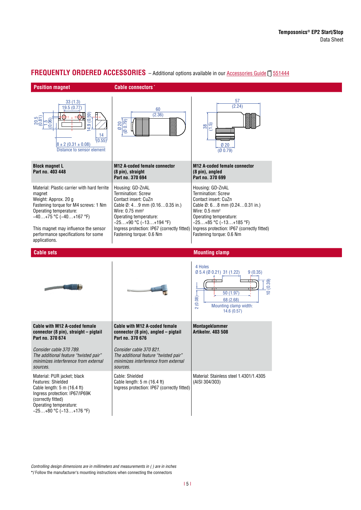

#### **FREQUENTLY ORDERED ACCESSORIES** - Additional options available in our [Accessories Guide](https://www.temposonics.com/literature/551444_en) [1551444]

*Controlling design dimensions are in millimeters and measurements in ( ) are in inches*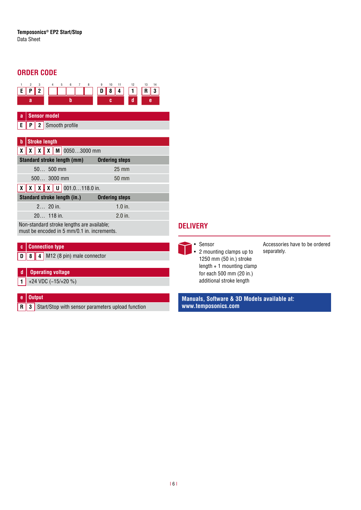# **ORDER CODE**



**D 8 4** M12 (8 pin) male connector

#### **d Operating voltage**

**1** +24 VDC (−15/+20 %)

#### **e Output**

**R 3** Start/Stop with sensor parameters upload function

### **DELIVERY**

• Sensor • 2 mounting clamps up to 1250 mm (50 in.) stroke length + 1 mounting clamp for each 500 mm (20 in.) additional stroke length

Accessories have to be ordered separately.

**Manuals, Software & 3D Models available at: www.temposonics.com**